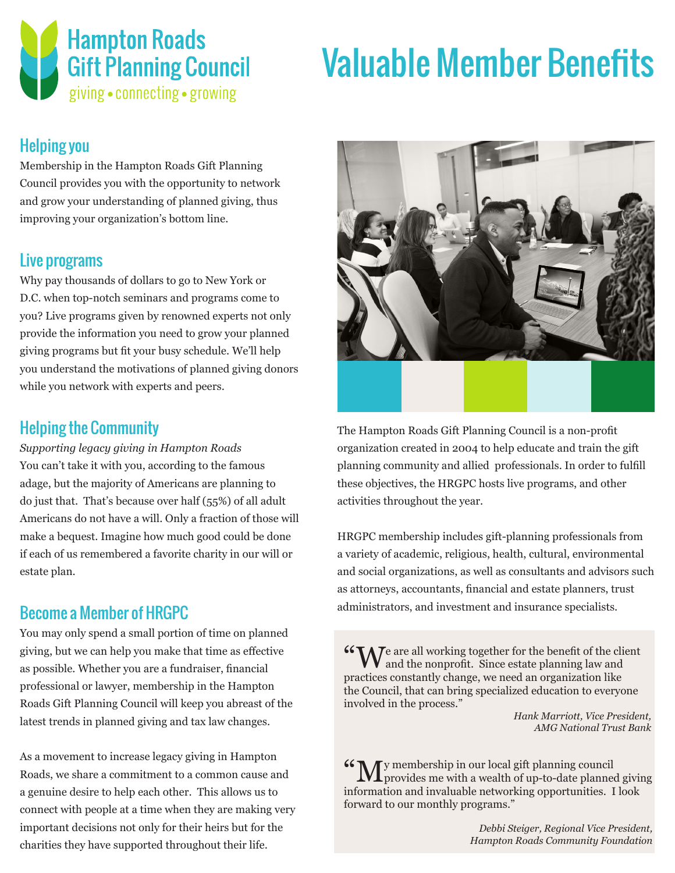

## Valuable Member Benefits

#### Helping you

Membership in the Hampton Roads Gift Planning Council provides you with the opportunity to network and grow your understanding of planned giving, thus improving your organization's bottom line.

#### Live programs

Why pay thousands of dollars to go to New York or D.C. when top-notch seminars and programs come to you? Live programs given by renowned experts not only provide the information you need to grow your planned giving programs but fit your busy schedule. We'll help you understand the motivations of planned giving donors while you network with experts and peers.

#### Helping the Community

*Supporting legacy giving in Hampton Roads* You can't take it with you, according to the famous adage, but the majority of Americans are planning to do just that. That's because over half (55%) of all adult Americans do not have a will. Only a fraction of those will make a bequest. Imagine how much good could be done if each of us remembered a favorite charity in our will or estate plan.

### Become a Member of HRGPC

You may only spend a small portion of time on planned giving, but we can help you make that time as effective as possible. Whether you are a fundraiser, financial professional or lawyer, membership in the Hampton Roads Gift Planning Council will keep you abreast of the latest trends in planned giving and tax law changes.

As a movement to increase legacy giving in Hampton Roads, we share a commitment to a common cause and a genuine desire to help each other. This allows us to connect with people at a time when they are making very important decisions not only for their heirs but for the charities they have supported throughout their life.



The Hampton Roads Gift Planning Council is a non-profit organization created in 2004 to help educate and train the gift planning community and allied professionals. In order to fulfill these objectives, the HRGPC hosts live programs, and other activities throughout the year.

HRGPC membership includes gift-planning professionals from a variety of academic, religious, health, cultural, environmental and social organizations, as well as consultants and advisors such as attorneys, accountants, financial and estate planners, trust administrators, and investment and insurance specialists.

 $W_{\mathbf{A}}$   $\mathbf{V}_{\mathbf{C}}$  are all working together for the benefit of the client  $\mathbf V$  and the nonprofit. Since estate planning law and practices constantly change, we need an organization like the Council, that can bring specialized education to everyone involved in the process."

> *Hank Marriott, Vice President, AMG National Trust Bank*

"My membership in our local gift planning council provides me with a wealth of up-to-date planned giving information and invaluable networking opportunities. I look forward to our monthly programs."

> *Debbi Steiger, Regional Vice President, Hampton Roads Community Foundation*